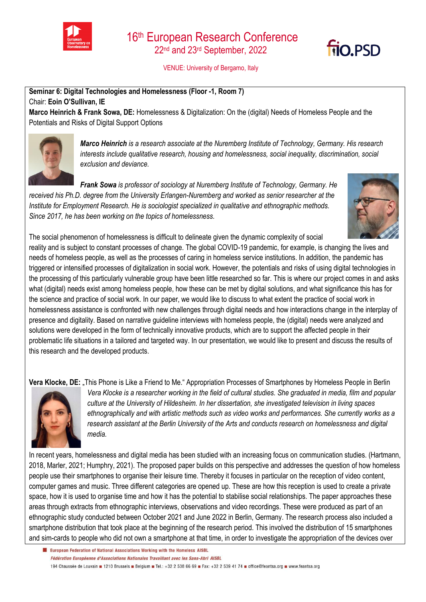



VENUE: University of Bergamo, Italy

**Seminar 6: Digital Technologies and Homelessness (Floor -1, Room 7)**  Chair: **Eoin O'Sullivan, IE**

**Marco Heinrich & Frank Sowa, DE:** Homelessness & Digitalization: On the (digital) Needs of Homeless People and the Potentials and Risks of Digital Support Options



*Marco Heinrich is a research associate at the Nuremberg Institute of Technology, Germany. His research interests include qualitative research, housing and homelessness, social inequality, discrimination, social exclusion and deviance.* 

*Frank Sowa is professor of sociology at Nuremberg Institute of Technology, Germany. He received his Ph.D. degree from the University Erlangen-Nuremberg and worked as senior researcher at the Institute for Employment Research. He is sociologist specialized in qualitative and ethnographic methods. Since 2017, he has been working on the topics of homelessness.*



The social phenomenon of homelessness is difficult to delineate given the dynamic complexity of social reality and is subject to constant processes of change. The global COVID-19 pandemic, for example, is changing the lives and needs of homeless people, as well as the processes of caring in homeless service institutions. In addition, the pandemic has triggered or intensified processes of digitalization in social work. However, the potentials and risks of using digital technologies in the processing of this particularly vulnerable group have been little researched so far. This is where our project comes in and asks what (digital) needs exist among homeless people, how these can be met by digital solutions, and what significance this has for the science and practice of social work. In our paper, we would like to discuss to what extent the practice of social work in homelessness assistance is confronted with new challenges through digital needs and how interactions change in the interplay of presence and digitality. Based on narrative guideline interviews with homeless people, the (digital) needs were analyzed and solutions were developed in the form of technically innovative products, which are to support the affected people in their problematic life situations in a tailored and targeted way. In our presentation, we would like to present and discuss the results of this research and the developed products.

**Vera Klocke, DE:** This Phone is Like a Friend to Me." Appropriation Processes of Smartphones by Homeless People in Berlin



*Vera Klocke is a researcher working in the field of cultural studies. She graduated in media, film and popular culture at the University of Hildesheim. In her dissertation, she investigated television in living spaces ethnographically and with artistic methods such as video works and performances. She currently works as a research assistant at the Berlin University of the Arts and conducts research on homelessness and digital media.*

In recent years, homelessness and digital media has been studied with an increasing focus on communication studies. (Hartmann, 2018, Marler, 2021; Humphry, 2021). The proposed paper builds on this perspective and addresses the question of how homeless people use their smartphones to organise their leisure time. Thereby it focuses in particular on the reception of video content, computer games and music. Three different categories are opened up. These are how this reception is used to create a private space, how it is used to organise time and how it has the potential to stabilise social relationships. The paper approaches these areas through extracts from ethnographic interviews, observations and video recordings. These were produced as part of an ethnographic study conducted between October 2021 and June 2022 in Berlin, Germany. The research process also included a smartphone distribution that took place at the beginning of the research period. This involved the distribution of 15 smartphones and sim-cards to people who did not own a smartphone at that time, in order to investigate the appropriation of the devices over